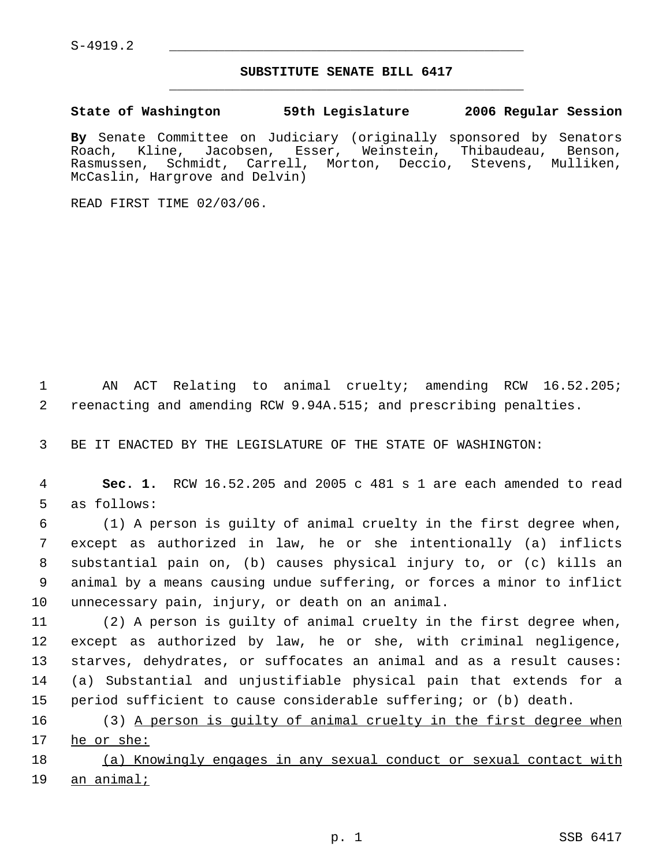## **SUBSTITUTE SENATE BILL 6417** \_\_\_\_\_\_\_\_\_\_\_\_\_\_\_\_\_\_\_\_\_\_\_\_\_\_\_\_\_\_\_\_\_\_\_\_\_\_\_\_\_\_\_\_\_

**State of Washington 59th Legislature 2006 Regular Session**

**By** Senate Committee on Judiciary (originally sponsored by Senators Roach, Kline, Jacobsen, Esser, Weinstein, Thibaudeau, Benson, Rasmussen, Schmidt, Carrell, Morton, Deccio, Stevens, Mulliken, McCaslin, Hargrove and Delvin)

READ FIRST TIME 02/03/06.

 AN ACT Relating to animal cruelty; amending RCW 16.52.205; reenacting and amending RCW 9.94A.515; and prescribing penalties.

BE IT ENACTED BY THE LEGISLATURE OF THE STATE OF WASHINGTON:

 **Sec. 1.** RCW 16.52.205 and 2005 c 481 s 1 are each amended to read as follows:

 (1) A person is guilty of animal cruelty in the first degree when, except as authorized in law, he or she intentionally (a) inflicts substantial pain on, (b) causes physical injury to, or (c) kills an animal by a means causing undue suffering, or forces a minor to inflict unnecessary pain, injury, or death on an animal.

 (2) A person is guilty of animal cruelty in the first degree when, except as authorized by law, he or she, with criminal negligence, starves, dehydrates, or suffocates an animal and as a result causes: (a) Substantial and unjustifiable physical pain that extends for a period sufficient to cause considerable suffering; or (b) death.

 (3) A person is guilty of animal cruelty in the first degree when he or she:

18 (a) Knowingly engages in any sexual conduct or sexual contact with an animal;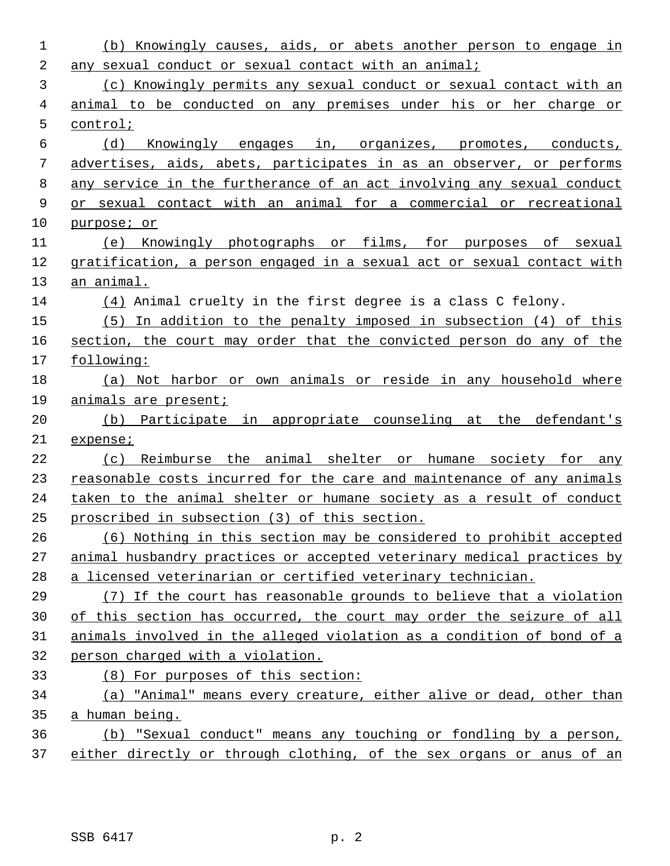| 1  | (b) Knowingly causes, aids, or abets another person to engage in       |
|----|------------------------------------------------------------------------|
| 2  | any sexual conduct or sexual contact with an animal;                   |
| 3  | (c) Knowingly permits any sexual conduct or sexual contact with an     |
| 4  | animal to be conducted on any premises under his or her charge or      |
| 5  | control;                                                               |
| 6  | (d)<br>Knowingly engages in, organizes, promotes, conducts,            |
| 7  | advertises, aids, abets, participates in as an observer, or performs   |
| 8  | any service in the furtherance of an act involving any sexual conduct  |
| 9  | or sexual contact with an animal for a commercial or recreational      |
| 10 | purpose; or                                                            |
| 11 | (e) Knowingly photographs or films, for purposes of sexual             |
| 12 | gratification, a person engaged in a sexual act or sexual contact with |
| 13 | an animal.                                                             |
| 14 | (4) Animal cruelty in the first degree is a class C felony.            |
| 15 | $(5)$ In addition to the penalty imposed in subsection $(4)$ of this   |
| 16 | section, the court may order that the convicted person do any of the   |
| 17 | following:                                                             |
| 18 | (a) Not harbor or own animals or reside in any household where         |
| 19 | animals are present;                                                   |
| 20 | (b) Participate in appropriate counseling at the defendant's           |
| 21 | expense;                                                               |
| 22 | Reimburse the animal shelter or humane society for any<br>(c)          |
| 23 | reasonable costs incurred for the care and maintenance of any animals  |
| 24 | taken to the animal shelter or humane society as a result of conduct   |
| 25 | proscribed in subsection (3) of this section.                          |
| 26 | (6) Nothing in this section may be considered to prohibit accepted     |
| 27 | animal husbandry practices or accepted veterinary medical practices by |
| 28 | a licensed veterinarian or certified veterinary technician.            |
| 29 | (7) If the court has reasonable grounds to believe that a violation    |
| 30 | of this section has occurred, the court may order the seizure of all   |
| 31 | animals involved in the alleged violation as a condition of bond of a  |
| 32 | person charged with a violation.                                       |
| 33 | (8) For purposes of this section:                                      |
| 34 | (a) "Animal" means every creature, either alive or dead, other than    |
| 35 | a human being.                                                         |
| 36 | (b) "Sexual conduct" means any touching or fondling by a person,       |
| 37 | either directly or through clothing, of the sex organs or anus of an   |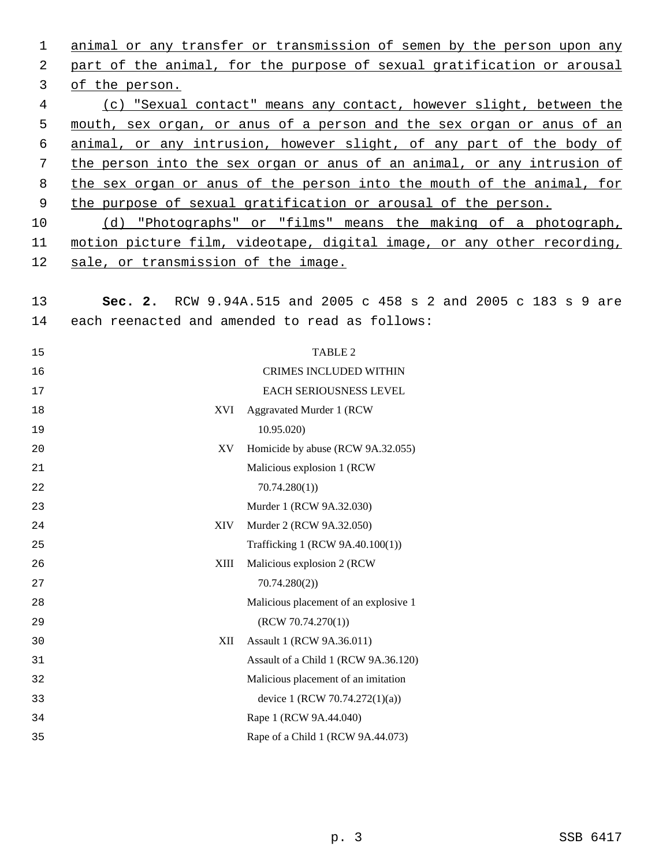animal or any transfer or transmission of semen by the person upon any part of the animal, for the purpose of sexual gratification or arousal of the person. (c) "Sexual contact" means any contact, however slight, between the mouth, sex organ, or anus of a person and the sex organ or anus of an animal, or any intrusion, however slight, of any part of the body of the person into the sex organ or anus of an animal, or any intrusion of the sex organ or anus of the person into the mouth of the animal, for 9 the purpose of sexual gratification or arousal of the person. (d) "Photographs" or "films" means the making of a photograph, motion picture film, videotape, digital image, or any other recording, sale, or transmission of the image. **Sec. 2.** RCW 9.94A.515 and 2005 c 458 s 2 and 2005 c 183 s 9 are each reenacted and amended to read as follows: 15 TABLE 2 CRIMES INCLUDED WITHIN EACH SERIOUSNESS LEVEL XVI Aggravated Murder 1 (RCW 10.95.020) XV Homicide by abuse (RCW 9A.32.055) Malicious explosion 1 (RCW 70.74.280(1)) Murder 1 (RCW 9A.32.030) XIV Murder 2 (RCW 9A.32.050) Trafficking 1 (RCW 9A.40.100(1)) XIII Malicious explosion 2 (RCW 70.74.280(2)) Malicious placement of an explosive 1 (RCW 70.74.270(1)) XII Assault 1 (RCW 9A.36.011) Assault of a Child 1 (RCW 9A.36.120) Malicious placement of an imitation device 1 (RCW 70.74.272(1)(a)) Rape 1 (RCW 9A.44.040) Rape of a Child 1 (RCW 9A.44.073)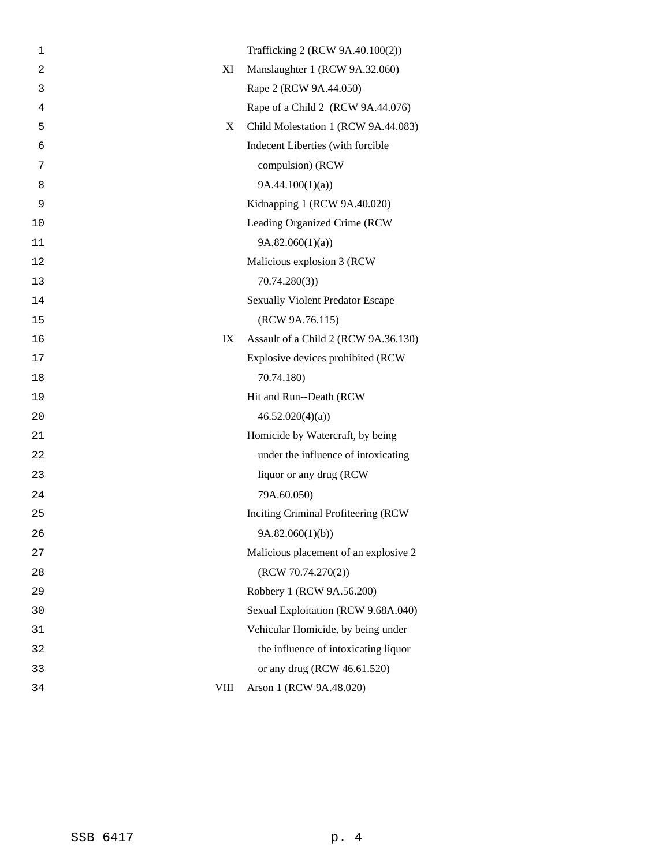| 1              |             | Trafficking 2 (RCW 9A.40.100(2))        |
|----------------|-------------|-----------------------------------------|
| $\overline{2}$ | XI          | Manslaughter 1 (RCW 9A.32.060)          |
| 3              |             | Rape 2 (RCW 9A.44.050)                  |
| 4              |             | Rape of a Child 2 (RCW 9A.44.076)       |
| 5              | X           | Child Molestation 1 (RCW 9A.44.083)     |
| 6              |             | Indecent Liberties (with forcible       |
| 7              |             | compulsion) (RCW                        |
| 8              |             | 9A.44.100(1)(a)                         |
| 9              |             | Kidnapping 1 (RCW 9A.40.020)            |
| 10             |             | Leading Organized Crime (RCW            |
| 11             |             | 9A.82.060(1)(a)                         |
| 12             |             | Malicious explosion 3 (RCW              |
| 13             |             | 70.74.280(3)                            |
| 14             |             | <b>Sexually Violent Predator Escape</b> |
| 15             |             | (RCW 9A.76.115)                         |
| 16             | IX          | Assault of a Child 2 (RCW 9A.36.130)    |
| 17             |             | Explosive devices prohibited (RCW       |
| 18             |             | 70.74.180)                              |
| 19             |             | Hit and Run--Death (RCW                 |
| 20             |             | 46.52.020(4)(a)                         |
| 21             |             | Homicide by Watercraft, by being        |
| 22             |             | under the influence of intoxicating     |
| 23             |             | liquor or any drug (RCW                 |
| 24             |             | 79A.60.050)                             |
| 25             |             | Inciting Criminal Profiteering (RCW     |
| 26             |             | 9A.82.060(1)(b)                         |
| 27             |             | Malicious placement of an explosive 2   |
| 28             |             | (RCW 70.74.270(2))                      |
| 29             |             | Robbery 1 (RCW 9A.56.200)               |
| 30             |             | Sexual Exploitation (RCW 9.68A.040)     |
| 31             |             | Vehicular Homicide, by being under      |
| 32             |             | the influence of intoxicating liquor    |
| 33             |             | or any drug (RCW 46.61.520)             |
| 34             | <b>VIII</b> | Arson 1 (RCW 9A.48.020)                 |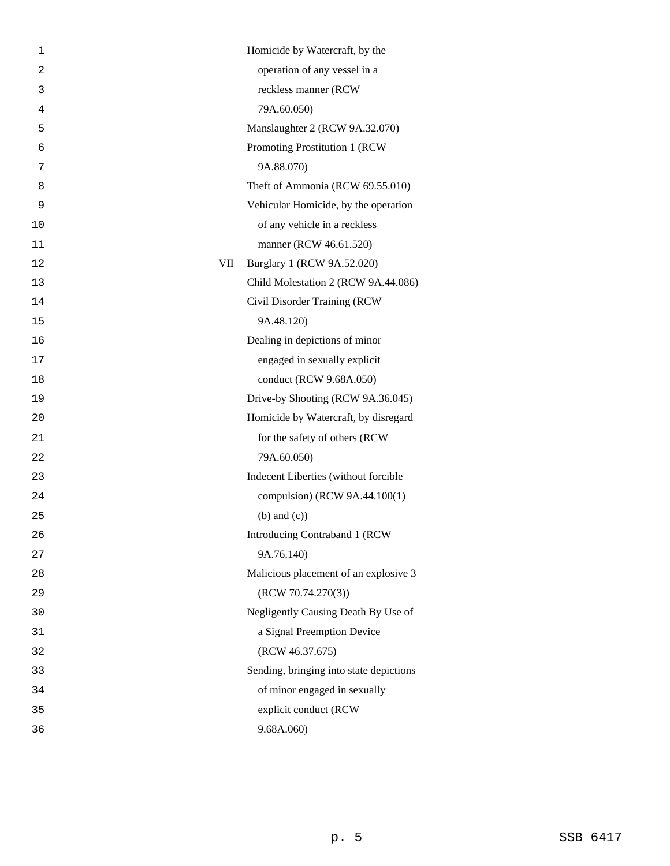| 1              |     | Homicide by Watercraft, by the          |
|----------------|-----|-----------------------------------------|
| $\overline{c}$ |     | operation of any vessel in a            |
| 3              |     | reckless manner (RCW                    |
| 4              |     | 79A.60.050)                             |
| 5              |     | Manslaughter 2 (RCW 9A.32.070)          |
| 6              |     | Promoting Prostitution 1 (RCW           |
| 7              |     | 9A.88.070)                              |
| 8              |     | Theft of Ammonia (RCW 69.55.010)        |
| 9              |     | Vehicular Homicide, by the operation    |
| 10             |     | of any vehicle in a reckless            |
| 11             |     | manner (RCW 46.61.520)                  |
| 12             | VII | Burglary 1 (RCW 9A.52.020)              |
| 13             |     | Child Molestation 2 (RCW 9A.44.086)     |
| 14             |     | Civil Disorder Training (RCW            |
| 15             |     | 9A.48.120)                              |
| 16             |     | Dealing in depictions of minor          |
| 17             |     | engaged in sexually explicit            |
| 18             |     | conduct (RCW 9.68A.050)                 |
| 19             |     | Drive-by Shooting (RCW 9A.36.045)       |
| 20             |     | Homicide by Watercraft, by disregard    |
| 21             |     | for the safety of others (RCW           |
| 22             |     | 79A.60.050)                             |
| 23             |     | Indecent Liberties (without forcible    |
| 24             |     | compulsion) (RCW 9A.44.100(1)           |
| 25             |     | $(b)$ and $(c)$ )                       |
| 26             |     | Introducing Contraband 1 (RCW           |
| 27             |     | 9A.76.140)                              |
| 28             |     | Malicious placement of an explosive 3   |
| 29             |     | (RCW 70.74.270(3))                      |
| 30             |     | Negligently Causing Death By Use of     |
| 31             |     | a Signal Preemption Device              |
| 32             |     | (RCW 46.37.675)                         |
| 33             |     | Sending, bringing into state depictions |
| 34             |     | of minor engaged in sexually            |
| 35             |     | explicit conduct (RCW                   |
| 36             |     | 9.68A.060                               |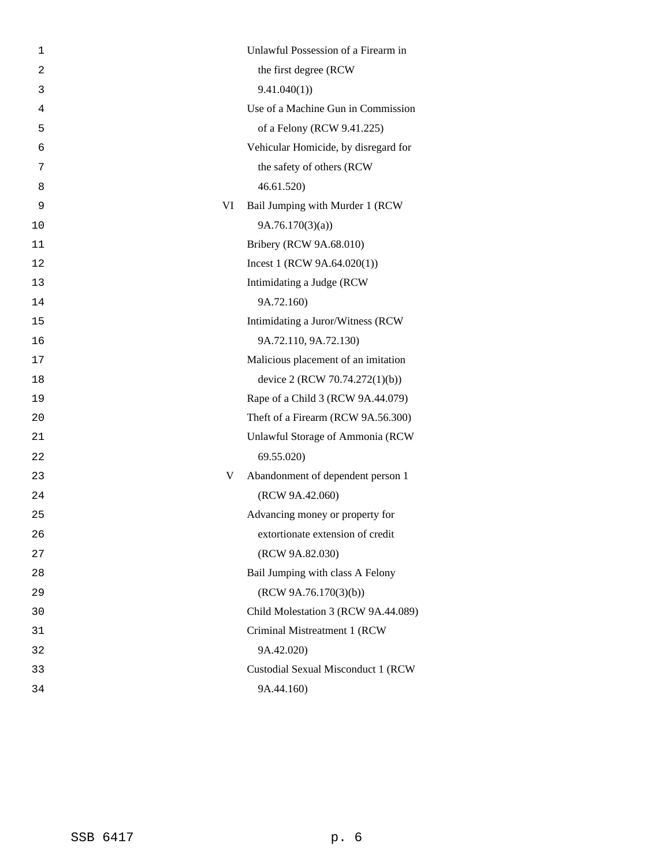| 1              |    | Unlawful Possession of a Firearm in  |
|----------------|----|--------------------------------------|
| $\overline{a}$ |    | the first degree (RCW                |
| 3              |    | 9.41.040(1)                          |
| 4              |    | Use of a Machine Gun in Commission   |
| 5              |    | of a Felony (RCW 9.41.225)           |
| 6              |    | Vehicular Homicide, by disregard for |
| 7              |    | the safety of others (RCW            |
| 8              |    | 46.61.520                            |
| 9              | VI | Bail Jumping with Murder 1 (RCW      |
| 10             |    | 9A.76.170(3)(a)                      |
| 11             |    | Bribery (RCW 9A.68.010)              |
| 12             |    | Incest 1 (RCW $9A.64.020(1)$ )       |
| 13             |    | Intimidating a Judge (RCW            |
| 14             |    | 9A.72.160)                           |
| 15             |    | Intimidating a Juror/Witness (RCW    |
| 16             |    | 9A.72.110, 9A.72.130)                |
| 17             |    | Malicious placement of an imitation  |
| 18             |    | device 2 (RCW 70.74.272(1)(b))       |
| 19             |    | Rape of a Child 3 (RCW 9A.44.079)    |
| 20             |    | Theft of a Firearm (RCW 9A.56.300)   |
| 21             |    | Unlawful Storage of Ammonia (RCW     |
| 22             |    | 69.55.020)                           |
| 23             | V  | Abandonment of dependent person 1    |
| 24             |    | (RCW 9A.42.060)                      |
| 25             |    | Advancing money or property for      |
| 26             |    | extortionate extension of credit     |
| 27             |    | (RCW 9A.82.030)                      |
| 28             |    | Bail Jumping with class A Felony     |
| 29             |    | (RCW 9A.76.170(3)(b))                |
| 30             |    | Child Molestation 3 (RCW 9A.44.089)  |
| 31             |    | Criminal Mistreatment 1 (RCW         |
| 32             |    | 9A.42.020)                           |
| 33             |    | Custodial Sexual Misconduct 1 (RCW   |
| 34             |    | 9A.44.160)                           |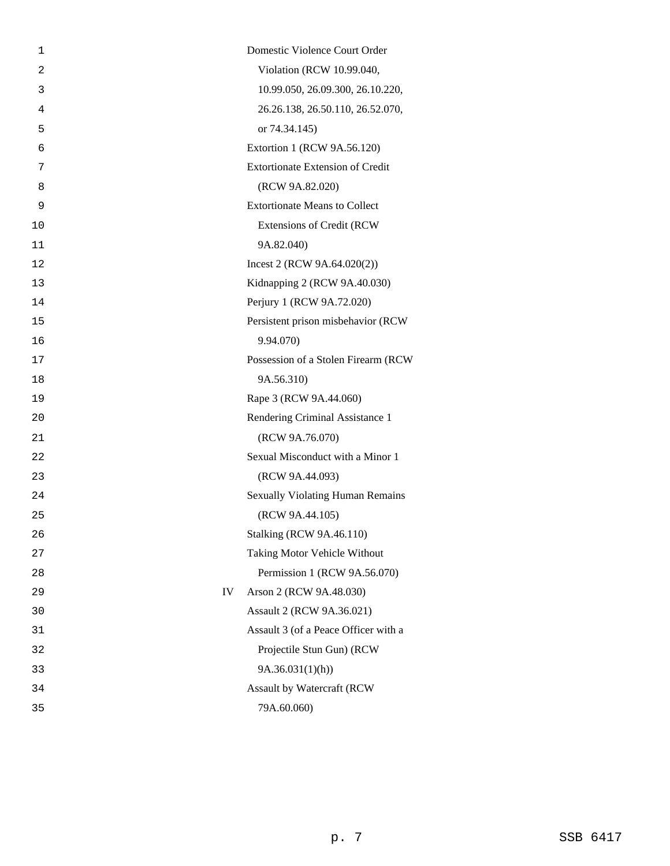| 1              | Domestic Violence Court Order           |
|----------------|-----------------------------------------|
| $\overline{2}$ | Violation (RCW 10.99.040,               |
| 3              | 10.99.050, 26.09.300, 26.10.220,        |
| 4              | 26.26.138, 26.50.110, 26.52.070,        |
|                |                                         |
| 5              | or 74.34.145)                           |
| 6              | Extortion 1 (RCW 9A.56.120)             |
| 7              | <b>Extortionate Extension of Credit</b> |
| 8              | (RCW 9A.82.020)                         |
| 9              | <b>Extortionate Means to Collect</b>    |
| 10             | <b>Extensions of Credit (RCW</b>        |
| 11             | 9A.82.040)                              |
| 12             | Incest 2 (RCW $9A.64.020(2)$ )          |
| 13             | Kidnapping 2 (RCW 9A.40.030)            |
| 14             | Perjury 1 (RCW 9A.72.020)               |
| 15             | Persistent prison misbehavior (RCW      |
| 16             | 9.94.070)                               |
| 17             | Possession of a Stolen Firearm (RCW     |
| 18             | 9A.56.310)                              |
| 19             | Rape 3 (RCW 9A.44.060)                  |
| 20             | Rendering Criminal Assistance 1         |
| 21             | (RCW 9A.76.070)                         |
| 22             | Sexual Misconduct with a Minor 1        |
| 23             | (RCW 9A.44.093)                         |
| 24             | <b>Sexually Violating Human Remains</b> |
| 25             | (RCW 9A.44.105)                         |
| 26             | <b>Stalking (RCW 9A.46.110)</b>         |
| 27             | Taking Motor Vehicle Without            |
| 28             | Permission 1 (RCW 9A.56.070)            |
| 29             | IV<br>Arson 2 (RCW 9A.48.030)           |
| 30             | Assault 2 (RCW 9A.36.021)               |
| 31             | Assault 3 (of a Peace Officer with a    |
| 32             | Projectile Stun Gun) (RCW               |
| 33             | 9A.36.031(1)(h)                         |
| 34             | Assault by Watercraft (RCW              |
| 35             | 79A.60.060)                             |
|                |                                         |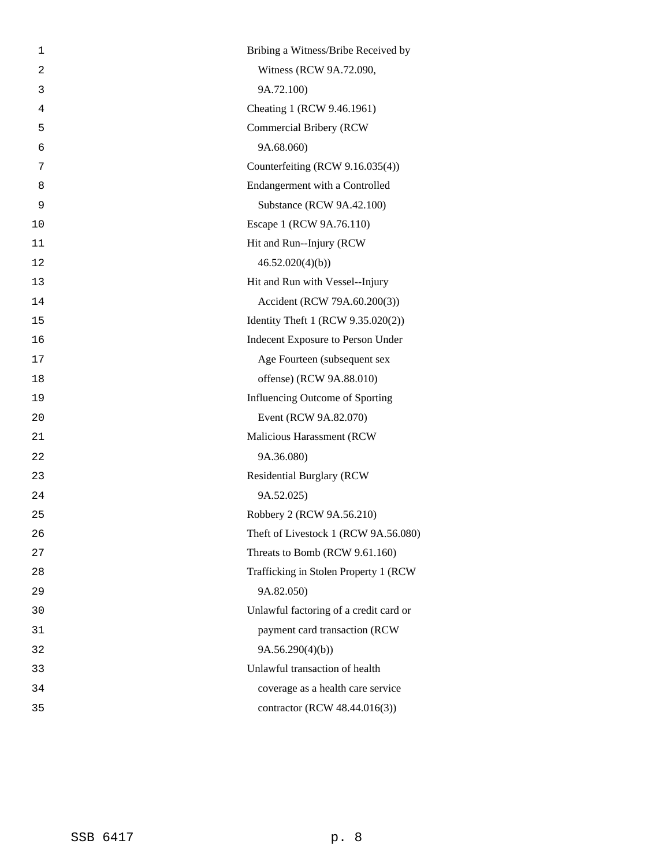| 1              | Bribing a Witness/Bribe Received by    |
|----------------|----------------------------------------|
| $\overline{c}$ | Witness (RCW 9A.72.090,                |
| 3              | 9A.72.100)                             |
| 4              | Cheating 1 (RCW 9.46.1961)             |
| 5              | Commercial Bribery (RCW                |
| 6              | 9A.68.060)                             |
| 7              | Counterfeiting (RCW 9.16.035(4))       |
| 8              | Endangerment with a Controlled         |
| 9              | Substance (RCW 9A.42.100)              |
| 10             | Escape 1 (RCW 9A.76.110)               |
| 11             | Hit and Run--Injury (RCW               |
| 12             | 46.52.020(4)(b)                        |
| 13             | Hit and Run with Vessel--Injury        |
| 14             | Accident (RCW 79A.60.200(3))           |
| 15             | Identity Theft 1 (RCW 9.35.020(2))     |
| 16             | Indecent Exposure to Person Under      |
| 17             | Age Fourteen (subsequent sex           |
| 18             | offense) (RCW 9A.88.010)               |
| 19             | Influencing Outcome of Sporting        |
| 20             | Event (RCW 9A.82.070)                  |
| 21             | Malicious Harassment (RCW              |
| 22             | 9A.36.080)                             |
| 23             | <b>Residential Burglary (RCW</b>       |
| 24             | 9A.52.025)                             |
| 25             | Robbery 2 (RCW 9A.56.210)              |
| 26             | Theft of Livestock 1 (RCW 9A.56.080)   |
| 27             | Threats to Bomb (RCW 9.61.160)         |
| 28             | Trafficking in Stolen Property 1 (RCW  |
| 29             | 9A.82.050)                             |
| 30             | Unlawful factoring of a credit card or |
| 31             | payment card transaction (RCW          |
| 32             | 9A.56.290(4)(b)                        |
| 33             | Unlawful transaction of health         |
| 34             | coverage as a health care service      |
| 35             | contractor (RCW 48.44.016(3))          |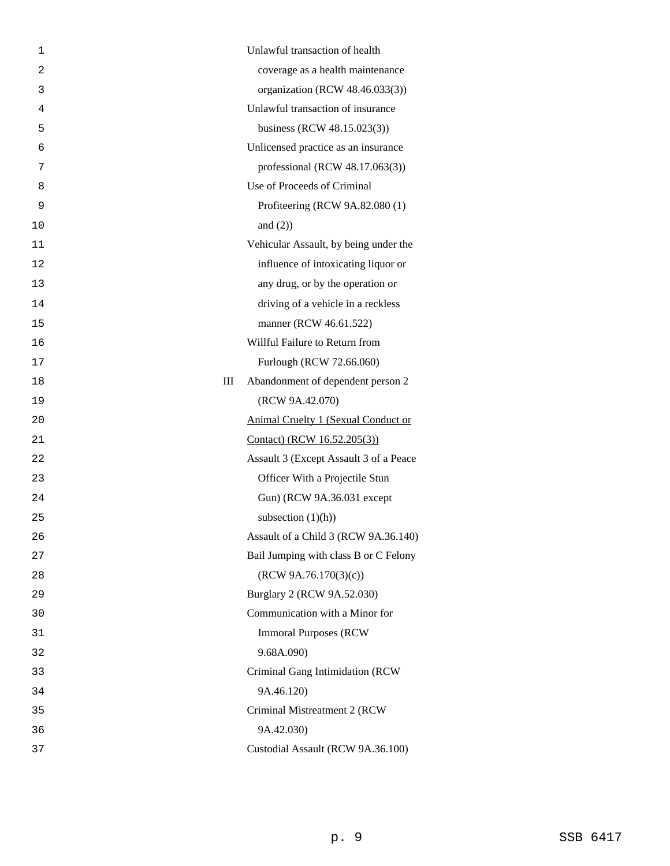| 1              | Unlawful transaction of health             |
|----------------|--------------------------------------------|
| $\overline{2}$ | coverage as a health maintenance           |
| 3              | organization (RCW 48.46.033(3))            |
| 4              | Unlawful transaction of insurance          |
| 5              | business (RCW 48.15.023(3))                |
| 6              | Unlicensed practice as an insurance        |
| 7              | professional (RCW 48.17.063(3))            |
| 8              | Use of Proceeds of Criminal                |
| 9              | Profiteering (RCW 9A.82.080 (1)            |
| 10             | and $(2)$ )                                |
| 11             | Vehicular Assault, by being under the      |
| 12             | influence of intoxicating liquor or        |
| 13             | any drug, or by the operation or           |
| 14             | driving of a vehicle in a reckless         |
| 15             | manner (RCW 46.61.522)                     |
| 16             | Willful Failure to Return from             |
| 17             | Furlough (RCW 72.66.060)                   |
| 18             | Ш<br>Abandonment of dependent person 2     |
| 19             | (RCW 9A.42.070)                            |
| 20             | <b>Animal Cruelty 1 (Sexual Conduct or</b> |
| 21             | Contact) (RCW 16.52.205(3))                |
| 22             | Assault 3 (Except Assault 3 of a Peace     |
| 23             | Officer With a Projectile Stun             |
| 24             | Gun) (RCW 9A.36.031 except                 |
| 25             | subsection $(1)(h)$                        |
| 26             | Assault of a Child 3 (RCW 9A.36.140)       |
| 27             | Bail Jumping with class B or C Felony      |
| 28             | (RCW 9A.76.170(3)(c))                      |
| 29             | Burglary 2 (RCW 9A.52.030)                 |
| 30             | Communication with a Minor for             |
| 31             | <b>Immoral Purposes (RCW)</b>              |
| 32             | 9.68A.090)                                 |
| 33             | Criminal Gang Intimidation (RCW            |
| 34             | 9A.46.120)                                 |
| 35             | Criminal Mistreatment 2 (RCW               |
| 36             | 9A.42.030)                                 |
| 37             | Custodial Assault (RCW 9A.36.100)          |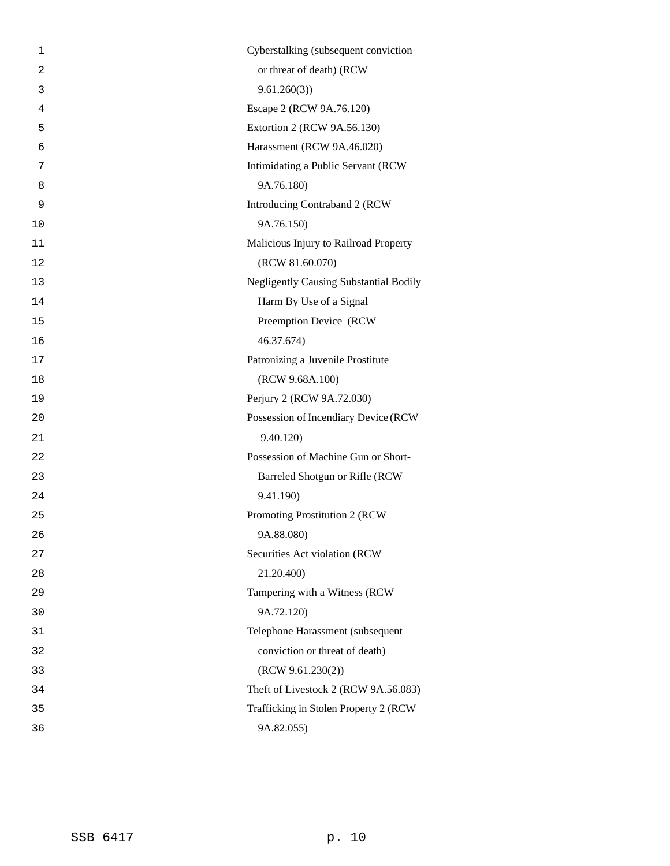| 1              | Cyberstalking (subsequent conviction          |
|----------------|-----------------------------------------------|
| $\overline{2}$ | or threat of death) (RCW                      |
| 3              | 9.61.260(3)                                   |
| $\overline{4}$ | Escape 2 (RCW 9A.76.120)                      |
| 5              | Extortion 2 (RCW 9A.56.130)                   |
| 6              | Harassment (RCW 9A.46.020)                    |
| 7              | Intimidating a Public Servant (RCW            |
| 8              | 9A.76.180)                                    |
| 9              | Introducing Contraband 2 (RCW                 |
| 10             | 9A.76.150)                                    |
| 11             | Malicious Injury to Railroad Property         |
| 12             | (RCW 81.60.070)                               |
| 13             | <b>Negligently Causing Substantial Bodily</b> |
| 14             | Harm By Use of a Signal                       |
| 15             | Preemption Device (RCW                        |
| 16             | 46.37.674)                                    |
| 17             | Patronizing a Juvenile Prostitute             |
| 18             | (RCW 9.68A.100)                               |
| 19             | Perjury 2 (RCW 9A.72.030)                     |
| 20             | Possession of Incendiary Device (RCW          |
| 21             | 9.40.120)                                     |
| 22             | Possession of Machine Gun or Short-           |
| 23             | Barreled Shotgun or Rifle (RCW                |
| 24             | 9.41.190)                                     |
| 25             | Promoting Prostitution 2 (RCW                 |
| 26             | 9A.88.080)                                    |
| 27             | Securities Act violation (RCW                 |
| 28             | 21.20.400)                                    |
| 29             | Tampering with a Witness (RCW                 |
| 30             | 9A.72.120)                                    |
| 31             | Telephone Harassment (subsequent              |
| 32             | conviction or threat of death)                |
| 33             | (RCW 9.61.230(2))                             |
| 34             | Theft of Livestock 2 (RCW 9A.56.083)          |
| 35             | Trafficking in Stolen Property 2 (RCW         |
| 36             | 9A.82.055)                                    |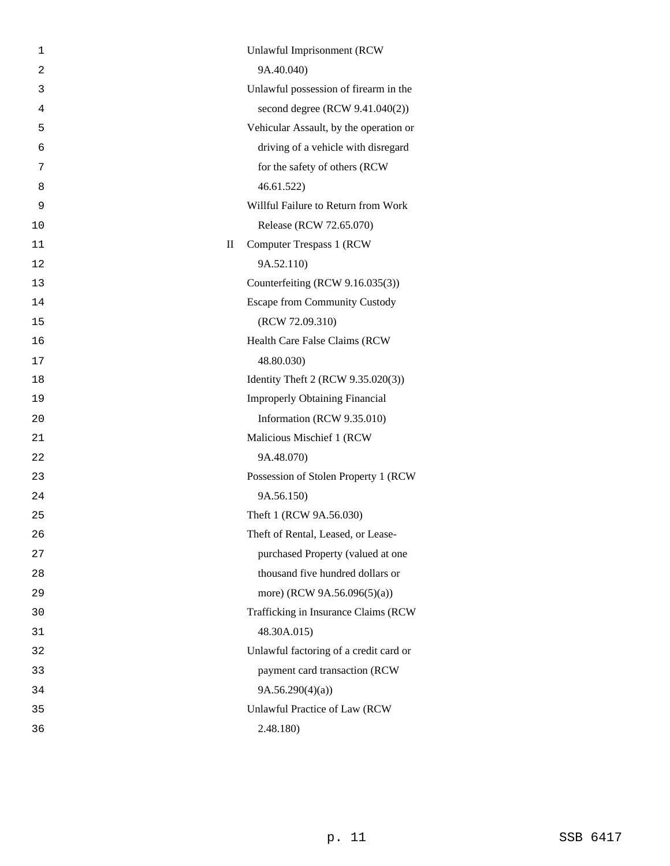| 1              |             | Unlawful Imprisonment (RCW             |
|----------------|-------------|----------------------------------------|
| $\overline{2}$ |             | 9A.40.040)                             |
| 3              |             | Unlawful possession of firearm in the  |
| 4              |             | second degree (RCW 9.41.040(2))        |
| 5              |             | Vehicular Assault, by the operation or |
| 6              |             | driving of a vehicle with disregard    |
| 7              |             | for the safety of others (RCW          |
| 8              |             | 46.61.522                              |
| 9              |             | Willful Failure to Return from Work    |
| 10             |             | Release (RCW 72.65.070)                |
| 11             | $\rm _{II}$ | <b>Computer Trespass 1 (RCW)</b>       |
| 12             |             | 9A.52.110)                             |
| 13             |             | Counterfeiting (RCW 9.16.035(3))       |
| 14             |             | <b>Escape from Community Custody</b>   |
| 15             |             | (RCW 72.09.310)                        |
| 16             |             | Health Care False Claims (RCW          |
| 17             |             | 48.80.030)                             |
| 18             |             | Identity Theft 2 (RCW 9.35.020(3))     |
| 19             |             | <b>Improperly Obtaining Financial</b>  |
| 20             |             | Information (RCW 9.35.010)             |
| 21             |             | Malicious Mischief 1 (RCW              |
| 22             |             | 9A.48.070)                             |
| 23             |             | Possession of Stolen Property 1 (RCW   |
| 24             |             | 9A.56.150)                             |
| 25             |             | Theft 1 (RCW 9A.56.030)                |
| 26             |             | Theft of Rental, Leased, or Lease-     |
| 27             |             | purchased Property (valued at one      |
| 28             |             | thousand five hundred dollars or       |
| 29             |             | more) (RCW 9A.56.096(5)(a))            |
| 30             |             | Trafficking in Insurance Claims (RCW   |
| 31             |             | 48.30A.015)                            |
| 32             |             | Unlawful factoring of a credit card or |
| 33             |             | payment card transaction (RCW          |
| 34             |             | 9A.56.290(4)(a)                        |
| 35             |             | Unlawful Practice of Law (RCW          |
| 36             |             | 2.48.180)                              |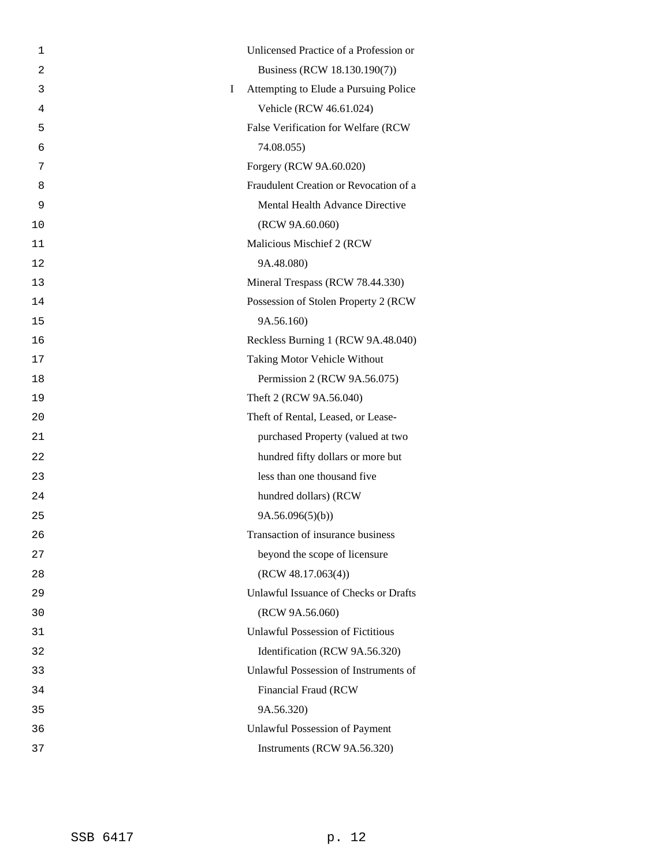| 1              | Unlicensed Practice of a Profession or            |
|----------------|---------------------------------------------------|
| $\overline{2}$ | Business (RCW 18.130.190(7))                      |
| 3              | Attempting to Elude a Pursuing Police<br>$\bf{I}$ |
| 4              | Vehicle (RCW 46.61.024)                           |
| 5              | False Verification for Welfare (RCW               |
| 6              | 74.08.055)                                        |
| 7              | Forgery (RCW 9A.60.020)                           |
| 8              | Fraudulent Creation or Revocation of a            |
| 9              | Mental Health Advance Directive                   |
| 10             | (RCW 9A.60.060)                                   |
| 11             | Malicious Mischief 2 (RCW                         |
| 12             | 9A.48.080)                                        |
| 13             | Mineral Trespass (RCW 78.44.330)                  |
| 14             | Possession of Stolen Property 2 (RCW              |
| 15             | 9A.56.160)                                        |
| 16             | Reckless Burning 1 (RCW 9A.48.040)                |
| 17             | Taking Motor Vehicle Without                      |
| 18             | Permission 2 (RCW 9A.56.075)                      |
| 19             | Theft 2 (RCW 9A.56.040)                           |
| 20             | Theft of Rental, Leased, or Lease-                |
| 21             | purchased Property (valued at two                 |
| 22             | hundred fifty dollars or more but                 |
| 23             | less than one thousand five                       |
| 24             | hundred dollars) (RCW                             |
| 25             | 9A.56.096(5)(b)                                   |
| 26             | Transaction of insurance business                 |
| 27             | beyond the scope of licensure                     |
| 28             | (RCW 48.17.063(4))                                |
| 29             | Unlawful Issuance of Checks or Drafts             |
| 30             | (RCW 9A.56.060)                                   |
| 31             | <b>Unlawful Possession of Fictitious</b>          |
| 32             | Identification (RCW 9A.56.320)                    |
| 33             | Unlawful Possession of Instruments of             |
| 34             | Financial Fraud (RCW                              |
| 35             | 9A.56.320)                                        |
| 36             | <b>Unlawful Possession of Payment</b>             |
| 37             | Instruments (RCW 9A.56.320)                       |